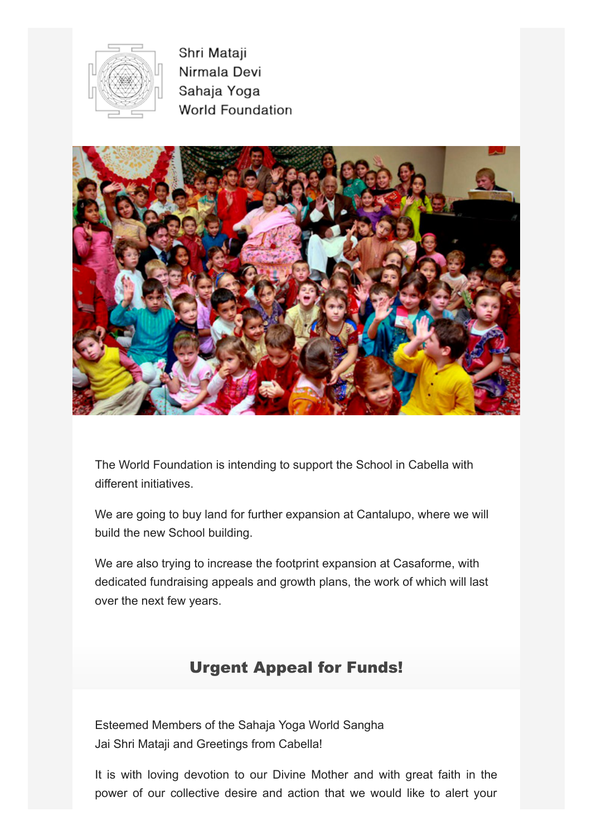

Shri Mataji Nirmala Devi Sahaja Yoga **World Foundation** 



The World Foundation is intending to support the School in Cabella with different initiatives.

We are going to buy land for further expansion at Cantalupo, where we will build the new School building.

We are also trying to increase the footprint expansion at Casaforme, with dedicated fundraising appeals and growth plans, the work of which will last over the next few years.

## Urgent Appeal for Funds!

Esteemed Members of the Sahaja Yoga World Sangha Jai Shri Mataji and Greetings from Cabella!

It is with loving devotion to our Divine Mother and with great faith in the power of our collective desire and action that we would like to alert your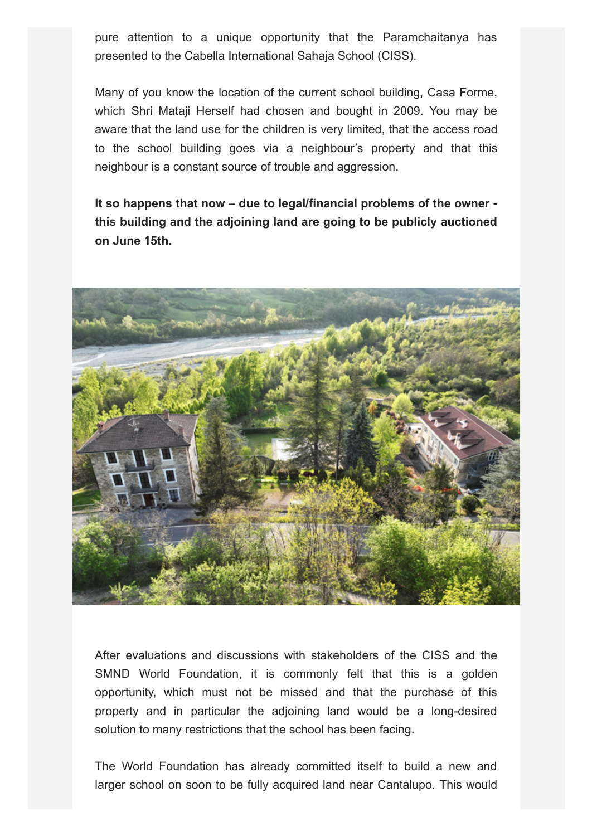pure attention to a unique opportunity that the Paramchaitanya has presented to the Cabella International Sahaja School (CISS).

Many of you know the location of the current school building, Casa Forme, which Shri Mataji Herself had chosen and bought in 2009. You may be aware that the land use for the children is very limited, that the access road to the school building goes via a neighbour's property and that this neighbour is a constant source of trouble and aggression.

**It so happens that now – due to legal/financial problems of the owner this building and the adjoining land are going to be publicly auctioned on June 15th.**



After evaluations and discussions with stakeholders of the CISS and the SMND World Foundation, it is commonly felt that this is a golden opportunity, which must not be missed and that the purchase of this property and in particular the adjoining land would be a long-desired solution to many restrictions that the school has been facing.

The World Foundation has already committed itself to build a new and larger school on soon to be fully acquired land near Cantalupo. This would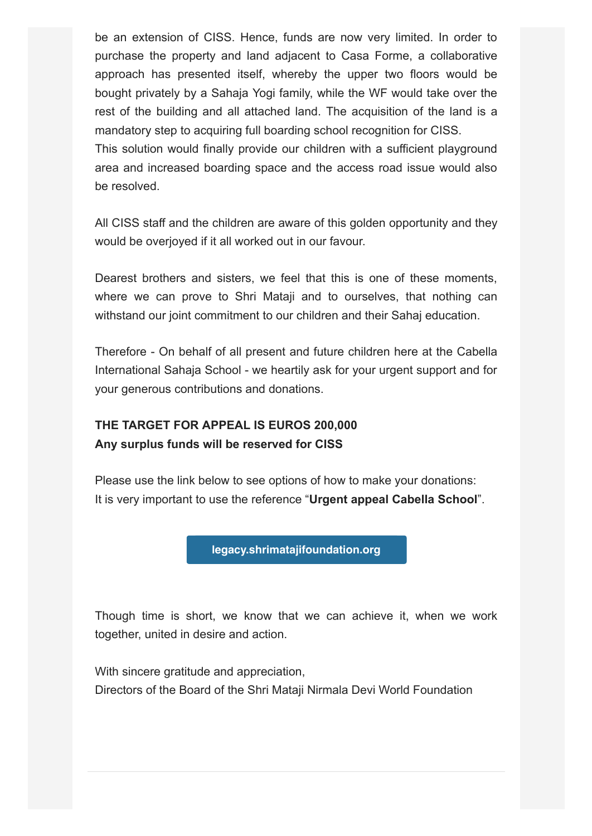be an extension of CISS. Hence, funds are now very limited. In order to purchase the property and land adjacent to Casa Forme, a collaborative approach has presented itself, whereby the upper two floors would be bought privately by a Sahaja Yogi family, while the WF would take over the rest of the building and all attached land. The acquisition of the land is a mandatory step to acquiring full boarding school recognition for CISS. This solution would finally provide our children with a sufficient playground

area and increased boarding space and the access road issue would also be resolved.

All CISS staff and the children are aware of this golden opportunity and they would be overjoyed if it all worked out in our favour.

Dearest brothers and sisters, we feel that this is one of these moments, where we can prove to Shri Mataji and to ourselves, that nothing can withstand our joint commitment to our children and their Sahaj education.

Therefore - On behalf of all present and future children here at the Cabella International Sahaja School - we heartily ask for your urgent support and for your generous contributions and donations.

## **THE TARGET FOR APPEAL IS EUROS 200,000 Any surplus funds will be reserved for CISS**

Please use the link below to see options of how to make your donations: It is very important to use the reference "**Urgent appeal Cabella School**".

**[legacy.shrimatajifoundation.org](https://legacy.shrimatajifoundation.org/)**

Though time is short, we know that we can achieve it, when we work together, united in desire and action.

With sincere gratitude and appreciation, Directors of the Board of the Shri Mataji Nirmala Devi World Foundation